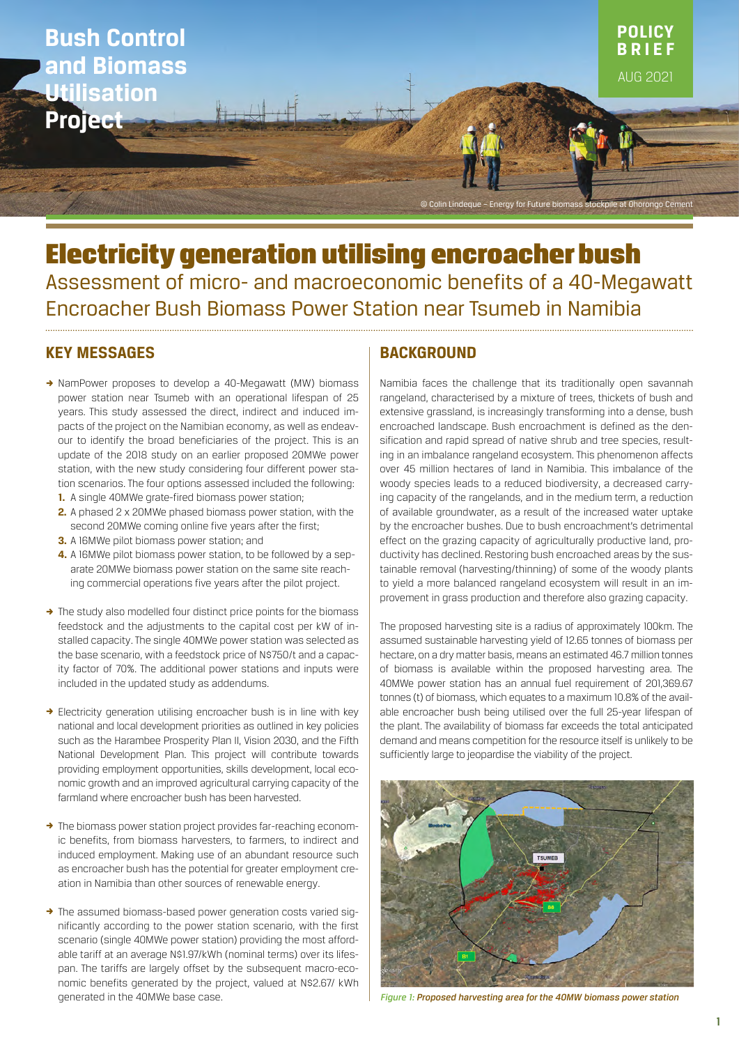

# Electricity generation utilising encroacher bush Assessment of micro- and macroeconomic benefits of a 40-Megawatt Encroacher Bush Biomass Power Station near Tsumeb in Namibia

# **KEY MESSAGES**

- → NamPower proposes to develop a 40-Megawatt (MW) biomass power station near Tsumeb with an operational lifespan of 25 years. This study assessed the direct, indirect and induced impacts of the project on the Namibian economy, as well as endeavour to identify the broad beneficiaries of the project. This is an update of the 2018 study on an earlier proposed 20MWe power station, with the new study considering four different power station scenarios. The four options assessed included the following:
	- **1.** A single 40MWe grate-fired biomass power station;
	- **2.** A phased 2 x 20MWe phased biomass power station, with the second 20MWe coming online five years after the first;
	- **3.** A 16MWe pilot biomass power station; and
	- **4.** A 16MWe pilot biomass power station, to be followed by a separate 20MWe biomass power station on the same site reaching commercial operations five years after the pilot project.
- $\rightarrow$  The study also modelled four distinct price points for the biomass feedstock and the adjustments to the capital cost per kW of installed capacity. The single 40MWe power station was selected as the base scenario, with a feedstock price of N\$750/t and a capacity factor of 70%. The additional power stations and inputs were included in the updated study as addendums.
- $\rightarrow$  Electricity generation utilising encroacher bush is in line with key national and local development priorities as outlined in key policies such as the Harambee Prosperity Plan II, Vision 2030, and the Fifth National Development Plan. This project will contribute towards providing employment opportunities, skills development, local economic growth and an improved agricultural carrying capacity of the farmland where encroacher bush has been harvested.
- $\rightarrow$  The biomass power station project provides far-reaching economic benefits, from biomass harvesters, to farmers, to indirect and induced employment. Making use of an abundant resource such as encroacher bush has the potential for greater employment creation in Namibia than other sources of renewable energy.
- → The assumed biomass-based power generation costs varied significantly according to the power station scenario, with the first scenario (single 40MWe power station) providing the most affordable tariff at an average N\$1.97/kWh (nominal terms) over its lifespan. The tariffs are largely offset by the subsequent macro-economic benefits generated by the project, valued at N\$2.67/ kWh generated in the 40MWe base case.

# **BACKGROUND**

Namibia faces the challenge that its traditionally open savannah rangeland, characterised by a mixture of trees, thickets of bush and extensive grassland, is increasingly transforming into a dense, bush encroached landscape. Bush encroachment is defined as the densification and rapid spread of native shrub and tree species, resulting in an imbalance rangeland ecosystem. This phenomenon affects over 45 million hectares of land in Namibia. This imbalance of the woody species leads to a reduced biodiversity, a decreased carrying capacity of the rangelands, and in the medium term, a reduction of available groundwater, as a result of the increased water uptake by the encroacher bushes. Due to bush encroachment's detrimental effect on the grazing capacity of agriculturally productive land, productivity has declined. Restoring bush encroached areas by the sustainable removal (harvesting/thinning) of some of the woody plants to yield a more balanced rangeland ecosystem will result in an improvement in grass production and therefore also grazing capacity.

The proposed harvesting site is a radius of approximately 100km. The assumed sustainable harvesting yield of 12.65 tonnes of biomass per hectare, on a dry matter basis, means an estimated 46.7 million tonnes of biomass is available within the proposed harvesting area. The 40MWe power station has an annual fuel requirement of 201,369.67 tonnes (t) of biomass, which equates to a maximum 10.8% of the available encroacher bush being utilised over the full 25-year lifespan of the plant. The availability of biomass far exceeds the total anticipated demand and means competition for the resource itself is unlikely to be sufficiently large to jeopardise the viability of the project.



*Figure 1: Proposed harvesting area for the 40MW biomass power station*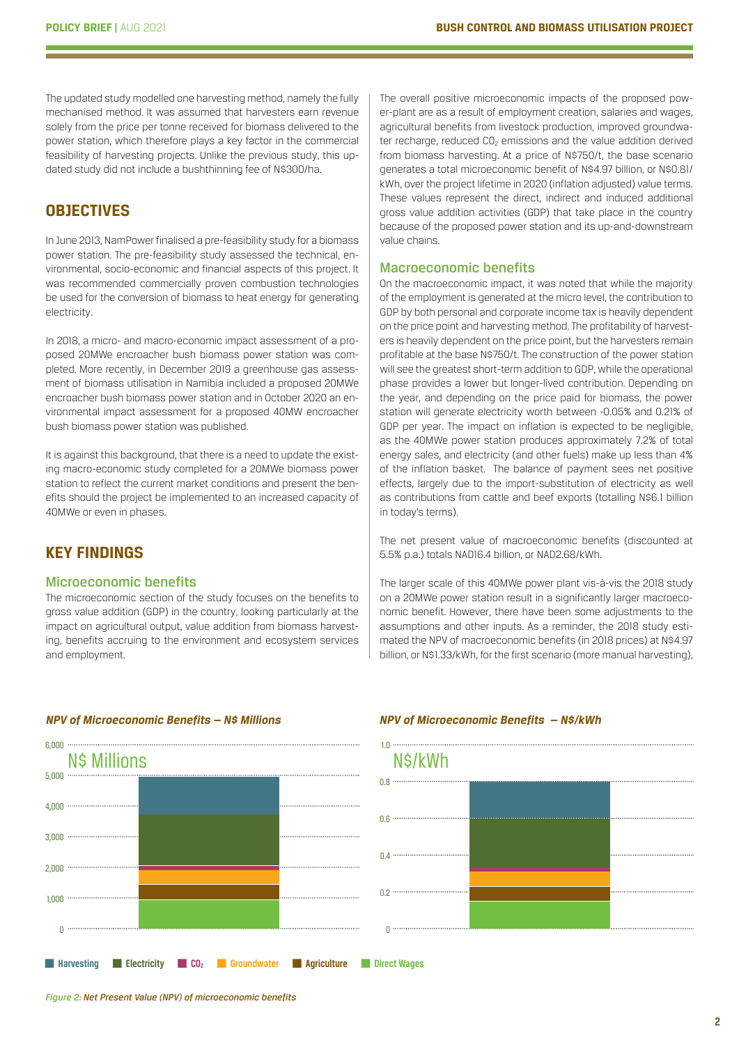The updated study modelled one harvesting method, namely the fully mechanised method. It was assumed that harvesters earn revenue solely from the price per tonne received for biomass delivered to the power station, which therefore plays a key factor in the commercial feasibility of harvesting projects. Unlike the previous study, this updated study did not include a bushthinning fee of N\$300/ha.

# **OBJECTIVES**

In June 2013, NamPower finalised a pre-feasibility study for a biomass power station. The pre-feasibility study assessed the technical, environmental, socio-economic and financial aspects of this project. It was recommended commercially proven combustion technologies be used for the conversion of biomass to heat energy for generating electricity.

In 2018, a micro- and macro-economic impact assessment of a proposed 20MWe encroacher bush biomass power station was completed. More recently, in December 2019 a greenhouse gas assessment of biomass utilisation in Namibia included a proposed 20MWe encroacher bush biomass power station and in October 2020 an environmental impact assessment for a proposed 40MW encroacher bush biomass power station was published.

It is against this background, that there is a need to update the existing macro-economic study completed for a 20MWe biomass power station to reflect the current market conditions and present the benefits should the project be implemented to an increased capacity of 40MWe or even in phases.

# **KEY FINDINGS**

#### Microeconomic benefits

The microeconomic section of the study focuses on the benefits to gross value addition (GDP) in the country, looking particularly at the impact on agricultural output, value addition from biomass harvesting, benefits accruing to the environment and ecosystem services and employment.

**P** Harvesting **P** Electricity **PCO<sub>2</sub> P** Groundwater **P** Agriculture **P** Direct Wages N\$ Millions N\$/kWh 6,000 .....  $5.000 -$ 4,000 3,000 2,000 1,000 0

#### *NPV of Microeconomic Benefits — N\$ Millions NPV of Microeconomic Benefits — N\$/kWh*

The overall positive microeconomic impacts of the proposed power-plant are as a result of employment creation, salaries and wages, agricultural benefits from livestock production, improved groundwater recharge, reduced CO<sub>2</sub> emissions and the value addition derived from biomass harvesting. At a price of N\$750/t, the base scenario generates a total microeconomic benefit of N\$4.97 billion, or N\$0.81/ kWh, over the project lifetime in 2020 (inflation adjusted) value terms. These values represent the direct, indirect and induced additional gross value addition activities (GDP) that take place in the country because of the proposed power station and its up-and-downstream value chains.

#### Macroeconomic benefits

On the macroeconomic impact, it was noted that while the majority of the employment is generated at the micro level, the contribution to GDP by both personal and corporate income tax is heavily dependent on the price point and harvesting method. The profitability of harvesters is heavily dependent on the price point, but the harvesters remain profitable at the base N\$750/t. The construction of the power station will see the greatest short-term addition to GDP, while the operational phase provides a lower but longer-lived contribution. Depending on the year, and depending on the price paid for biomass, the power station will generate electricity worth between -0.05% and 0.21% of GDP per year. The impact on inflation is expected to be negligible, as the 40MWe power station produces approximately 7.2% of total energy sales, and electricity (and other fuels) make up less than 4% of the inflation basket. The balance of payment sees net positive effects, largely due to the import-substitution of electricity as well as contributions from cattle and beef exports (totalling N\$6.1 billion in today's terms).

The net present value of macroeconomic benefits (discounted at 5.5% p.a.) totals NAD16.4 billion, or NAD2.68/kWh.

The larger scale of this 40MWe power plant vis-à-vis the 2018 study on a 20MWe power station result in a significantly larger macroeconomic benefit. However, there have been some adjustments to the assumptions and other inputs. As a reminder, the 2018 study estimated the NPV of macroeconomic benefits (in 2018 prices) at N\$4.97 billion, or N\$1.33/kWh, for the first scenario (more manual harvesting),

# 1.0 0.8 0.6 0.4 0.2 0

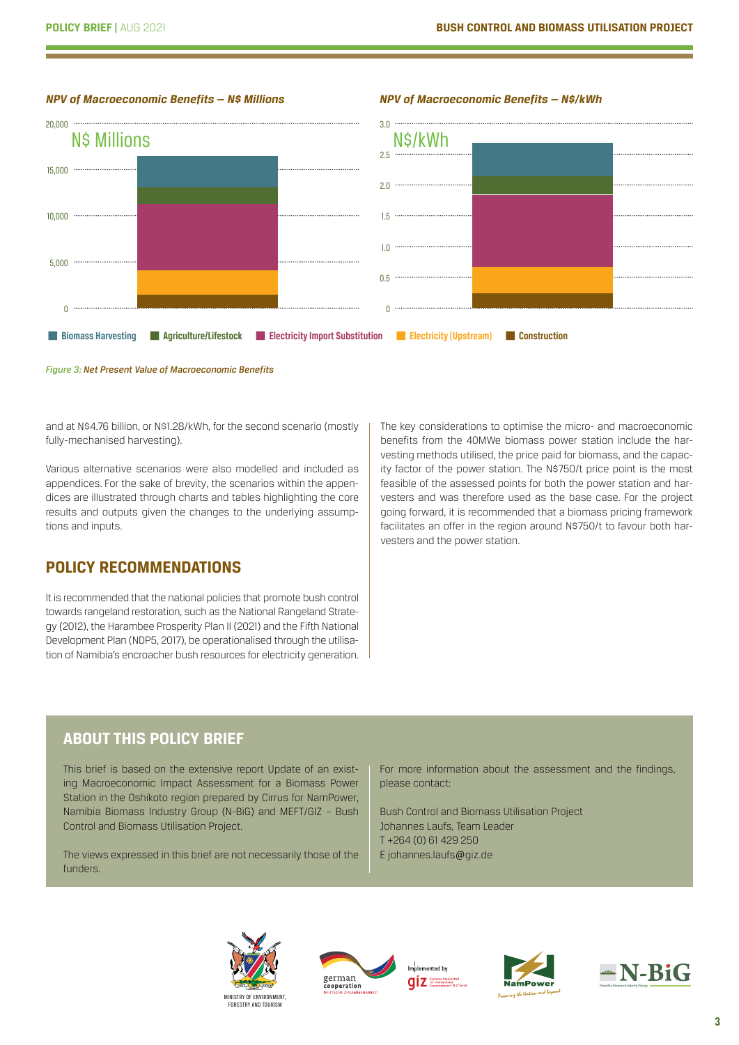#### *NPV of Macroeconomic Benefits — N\$ Millions NPV of Macroeconomic Benefits — N\$/kWh*





*Figure 3: Net Present Value of Macroeconomic Benefits* 

and at N\$4.76 billion, or N\$1.28/kWh, for the second scenario (mostly fully-mechanised harvesting).

Various alternative scenarios were also modelled and included as appendices. For the sake of brevity, the scenarios within the appendices are illustrated through charts and tables highlighting the core results and outputs given the changes to the underlying assumptions and inputs.

# **POLICY RECOMMENDATIONS**

It is recommended that the national policies that promote bush control towards rangeland restoration, such as the National Rangeland Strategy (2012), the Harambee Prosperity Plan II (2021) and the Fifth National Development Plan (NDP5, 2017), be operationalised through the utilisation of Namibia's encroacher bush resources for electricity generation. The key considerations to optimise the micro- and macroeconomic benefits from the 40MWe biomass power station include the harvesting methods utilised, the price paid for biomass, and the capacity factor of the power station. The N\$750/t price point is the most feasible of the assessed points for both the power station and harvesters and was therefore used as the base case. For the project going forward, it is recommended that a biomass pricing framework facilitates an offer in the region around N\$750/t to favour both harvesters and the power station.

# **ABOUT THIS POLICY BRIEF**

This brief is based on the extensive report Update of an existing Macroeconomic Impact Assessment for a Biomass Power Station in the Oshikoto region prepared by Cirrus for NamPower, Namibia Biomass Industry Group (N-BiG) and MEFT/GIZ – Bush Control and Biomass Utilisation Project.

The views expressed in this brief are not necessarily those of the funders.

For more information about the assessment and the findings, please contact:

Bush Control and Biomass Utilisation Project Johannes Laufs, Team Leader T +264 (0) 61 429 250 E johannes.laufs@giz.de